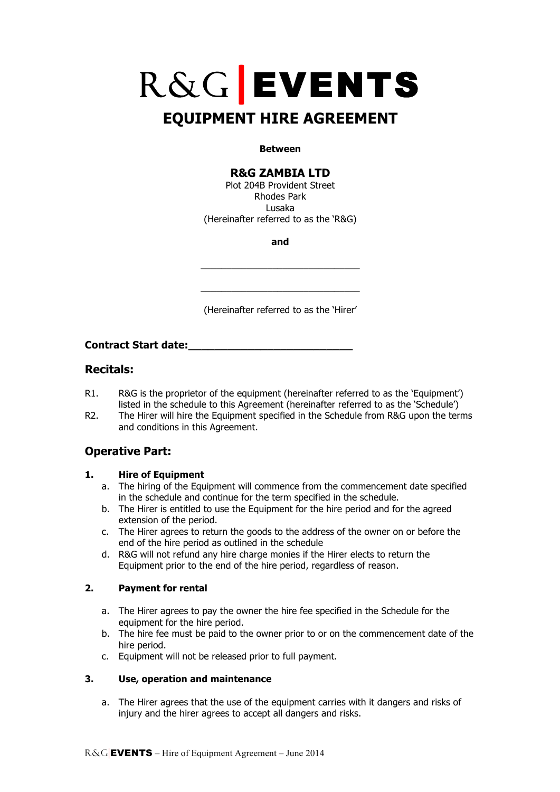# R&G**|**EVENTS

# **EQUIPMENT HIRE AGREEMENT**

#### **Between**

## **R&G ZAMBIA LTD**

Plot 204B Provident Street Rhodes Park Lusaka (Hereinafter referred to as the 'R&G)

**and**

\_\_\_\_\_\_\_\_\_\_\_\_\_\_\_\_\_\_\_\_\_\_\_\_\_\_\_\_\_\_\_

\_\_\_\_\_\_\_\_\_\_\_\_\_\_\_\_\_\_\_\_\_\_\_\_\_\_\_\_\_\_\_

(Hereinafter referred to as the 'Hirer'

**Contract Start date:\_\_\_\_\_\_\_\_\_\_\_\_\_\_\_\_\_\_\_\_\_\_\_\_\_**

## **Recitals:**

- R1. R&G is the proprietor of the equipment (hereinafter referred to as the 'Equipment') listed in the schedule to this Agreement (hereinafter referred to as the 'Schedule')
- R2. The Hirer will hire the Equipment specified in the Schedule from R&G upon the terms and conditions in this Agreement.

# **Operative Part:**

#### **1. Hire of Equipment**

- a. The hiring of the Equipment will commence from the commencement date specified in the schedule and continue for the term specified in the schedule.
- b. The Hirer is entitled to use the Equipment for the hire period and for the agreed extension of the period.
- c. The Hirer agrees to return the goods to the address of the owner on or before the end of the hire period as outlined in the schedule
- d. R&G will not refund any hire charge monies if the Hirer elects to return the Equipment prior to the end of the hire period, regardless of reason.

#### **2. Payment for rental**

- a. The Hirer agrees to pay the owner the hire fee specified in the Schedule for the equipment for the hire period.
- b. The hire fee must be paid to the owner prior to or on the commencement date of the hire period.
- c. Equipment will not be released prior to full payment.

#### **3. Use, operation and maintenance**

a. The Hirer agrees that the use of the equipment carries with it dangers and risks of injury and the hirer agrees to accept all dangers and risks.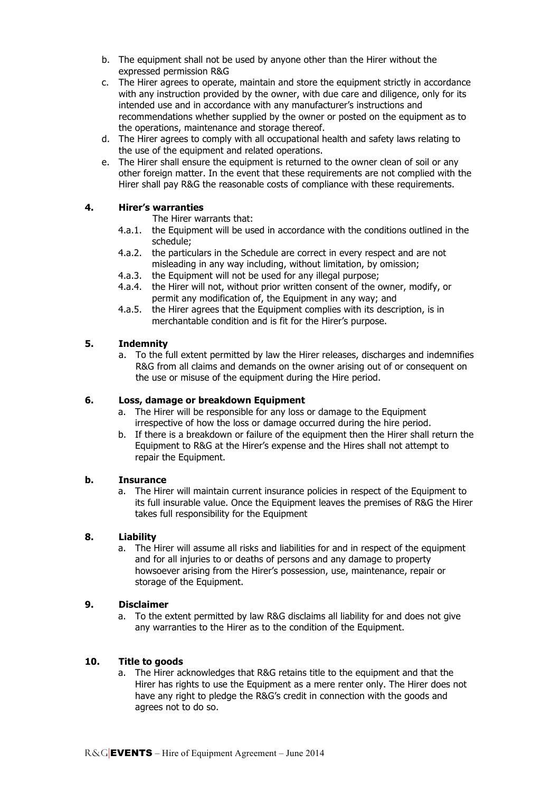- b. The equipment shall not be used by anyone other than the Hirer without the expressed permission R&G
- c. The Hirer agrees to operate, maintain and store the equipment strictly in accordance with any instruction provided by the owner, with due care and diligence, only for its intended use and in accordance with any manufacturer's instructions and recommendations whether supplied by the owner or posted on the equipment as to the operations, maintenance and storage thereof.
- d. The Hirer agrees to comply with all occupational health and safety laws relating to the use of the equipment and related operations.
- e. The Hirer shall ensure the equipment is returned to the owner clean of soil or any other foreign matter. In the event that these requirements are not complied with the Hirer shall pay R&G the reasonable costs of compliance with these requirements.

#### **4. Hirer's warranties**

The Hirer warrants that:

- 4.a.1. the Equipment will be used in accordance with the conditions outlined in the schedule;
- 4.a.2. the particulars in the Schedule are correct in every respect and are not misleading in any way including, without limitation, by omission;
- 4.a.3. the Equipment will not be used for any illegal purpose;
- 4.a.4. the Hirer will not, without prior written consent of the owner, modify, or permit any modification of, the Equipment in any way; and
- 4.a.5. the Hirer agrees that the Equipment complies with its description, is in merchantable condition and is fit for the Hirer's purpose.

#### **5. Indemnity**

a. To the full extent permitted by law the Hirer releases, discharges and indemnifies R&G from all claims and demands on the owner arising out of or consequent on the use or misuse of the equipment during the Hire period.

#### **6. Loss, damage or breakdown Equipment**

- a. The Hirer will be responsible for any loss or damage to the Equipment irrespective of how the loss or damage occurred during the hire period.
- b. If there is a breakdown or failure of the equipment then the Hirer shall return the Equipment to R&G at the Hirer's expense and the Hires shall not attempt to repair the Equipment.

#### **b. Insurance**

a. The Hirer will maintain current insurance policies in respect of the Equipment to its full insurable value. Once the Equipment leaves the premises of R&G the Hirer takes full responsibility for the Equipment

#### **8. Liability**

a. The Hirer will assume all risks and liabilities for and in respect of the equipment and for all injuries to or deaths of persons and any damage to property howsoever arising from the Hirer's possession, use, maintenance, repair or storage of the Equipment.

#### **9. Disclaimer**

a. To the extent permitted by law R&G disclaims all liability for and does not give any warranties to the Hirer as to the condition of the Equipment.

#### **10. Title to goods**

a. The Hirer acknowledges that R&G retains title to the equipment and that the Hirer has rights to use the Equipment as a mere renter only. The Hirer does not have any right to pledge the R&G's credit in connection with the goods and agrees not to do so.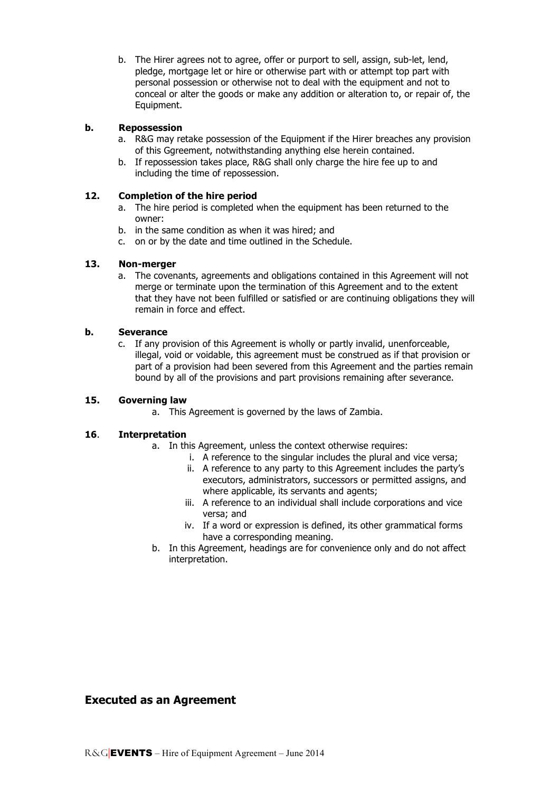b. The Hirer agrees not to agree, offer or purport to sell, assign, sub-let, lend, pledge, mortgage let or hire or otherwise part with or attempt top part with personal possession or otherwise not to deal with the equipment and not to conceal or alter the goods or make any addition or alteration to, or repair of, the Equipment.

#### **b. Repossession**

- a. R&G may retake possession of the Equipment if the Hirer breaches any provision of this Ggreement, notwithstanding anything else herein contained.
- b. If repossession takes place, R&G shall only charge the hire fee up to and including the time of repossession.

#### **12. Completion of the hire period**

- a. The hire period is completed when the equipment has been returned to the owner:
- b. in the same condition as when it was hired; and
- c. on or by the date and time outlined in the Schedule.

#### **13. Non-merger**

a. The covenants, agreements and obligations contained in this Agreement will not merge or terminate upon the termination of this Agreement and to the extent that they have not been fulfilled or satisfied or are continuing obligations they will remain in force and effect.

#### **b. Severance**

c. If any provision of this Agreement is wholly or partly invalid, unenforceable, illegal, void or voidable, this agreement must be construed as if that provision or part of a provision had been severed from this Agreement and the parties remain bound by all of the provisions and part provisions remaining after severance.

#### **15. Governing law**

a. This Agreement is governed by the laws of Zambia.

#### **16**. **Interpretation**

- a. In this Agreement, unless the context otherwise requires:
	- i. A reference to the singular includes the plural and vice versa;
	- ii. A reference to any party to this Agreement includes the party's executors, administrators, successors or permitted assigns, and where applicable, its servants and agents;
	- iii. A reference to an individual shall include corporations and vice versa; and
	- iv. If a word or expression is defined, its other grammatical forms have a corresponding meaning.
- b. In this Agreement, headings are for convenience only and do not affect interpretation.

## **Executed as an Agreement**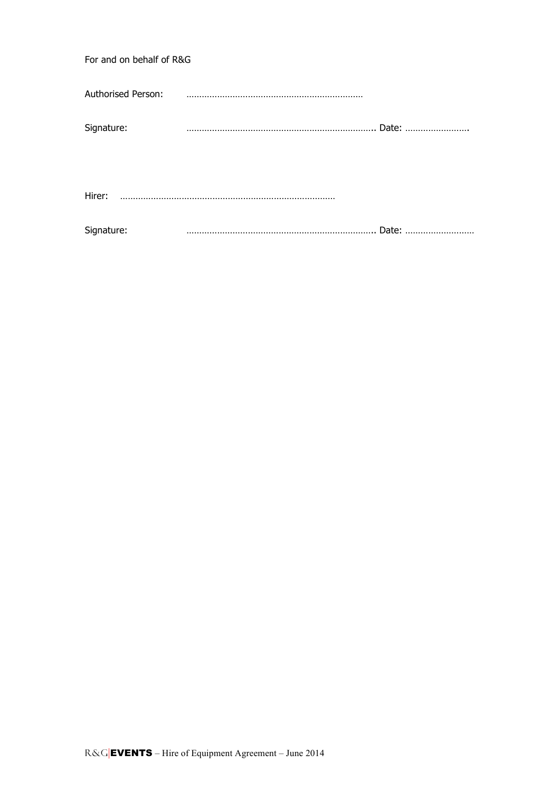| For and on behalf of R&G |             |  |
|--------------------------|-------------|--|
| Authorised Person:       | لتنبذ المنا |  |
| Signature:               |             |  |
| Hirer:                   |             |  |
| Signature:               |             |  |